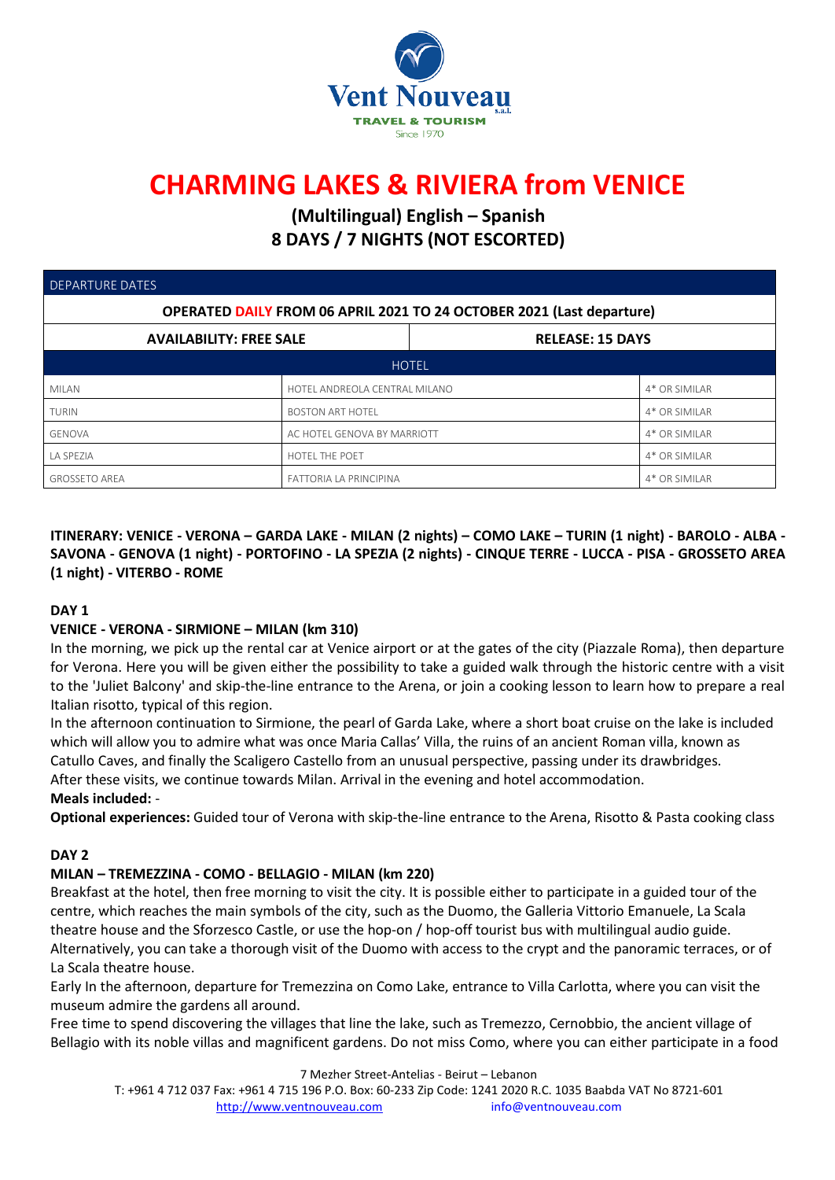

# **CHARMING LAKES & RIVIERA from VENICE**

**(Multilingual) English – Spanish 8 DAYS / 7 NIGHTS (NOT ESCORTED)**

| <b>DEPARTURE DATES</b>                                                |                               |                         |               |  |  |  |  |
|-----------------------------------------------------------------------|-------------------------------|-------------------------|---------------|--|--|--|--|
| OPERATED DAILY FROM 06 APRIL 2021 TO 24 OCTOBER 2021 (Last departure) |                               |                         |               |  |  |  |  |
| <b>AVAILABILITY: FREE SALE</b>                                        |                               | <b>RELEASE: 15 DAYS</b> |               |  |  |  |  |
| <b>HOTEL</b>                                                          |                               |                         |               |  |  |  |  |
| <b>MILAN</b>                                                          | HOTEL ANDREOLA CENTRAL MILANO |                         | 4* OR SIMILAR |  |  |  |  |
| <b>TURIN</b>                                                          | <b>BOSTON ART HOTEL</b>       |                         | 4* OR SIMILAR |  |  |  |  |
| <b>GENOVA</b>                                                         | AC HOTEL GENOVA BY MARRIOTT   |                         | 4* OR SIMILAR |  |  |  |  |
| LA SPEZIA                                                             | HOTEL THE POET                |                         | 4* OR SIMILAR |  |  |  |  |
| <b>GROSSETO AREA</b>                                                  | <b>FATTORIA LA PRINCIPINA</b> |                         | 4* OR SIMILAR |  |  |  |  |

ITINERARY: VENICE - VERONA - GARDA LAKE - MILAN (2 nights) - COMO LAKE - TURIN (1 night) - BAROLO - ALBA -SAVONA - GENOVA (1 night) - PORTOFINO - LA SPEZIA (2 nights) - CINQUE TERRE - LUCCA - PISA - GROSSETO AREA **(1 night) - VITERBO - ROME**

# **DAY 1**

# **VENICE - VERONA - SIRMIONE – MILAN (km 310)**

In the morning, we pick up the rental car at Venice airport or at the gates of the city (Piazzale Roma), then departure for Verona. Here you will be given either the possibility to take a guided walk through the historic centre with a visit to the 'Juliet Balcony' and skip-the-line entrance to the Arena, or join a cooking lesson to learn how to prepare a real Italian risotto, typical of this region.

In the afternoon continuation to Sirmione, the pearl of Garda Lake, where a short boat cruise on the lake is included which will allow you to admire what was once Maria Callas' Villa, the ruins of an ancient Roman villa, known as Catullo Caves, and finally the Scaligero Castello from an unusual perspective, passing under its drawbridges. After these visits, we continue towards Milan. Arrival in the evening and hotel accommodation.

# **Meals included:** -

**Optional experiences:** Guided tour of Verona with skip-the-line entrance to the Arena, Risotto & Pasta cooking class

# **DAY 2**

#### **MILAN – TREMEZZINA - COMO - BELLAGIO - MILAN (km 220)**

Breakfast at the hotel, then free morning to visit the city. It is possible either to participate in a guided tour of the centre, which reaches the main symbols of the city, such as the Duomo, the Galleria Vittorio Emanuele, La Scala theatre house and the Sforzesco Castle, or use the hop-on / hop-off tourist bus with multilingual audio guide. Alternatively, you can take a thorough visit of the Duomo with access to the crypt and the panoramic terraces, or of La Scala theatre house.

Early In the afternoon, departure for Tremezzina on Como Lake, entrance to Villa Carlotta, where you can visit the museum admire the gardens all around.

Free time to spend discovering the villages that line the lake, such as Tremezzo, Cernobbio, the ancient village of Bellagio with its noble villas and magnificent gardens. Do not miss Como, where you can either participate in a food

7 Mezher Street-Antelias - Beirut – Lebanon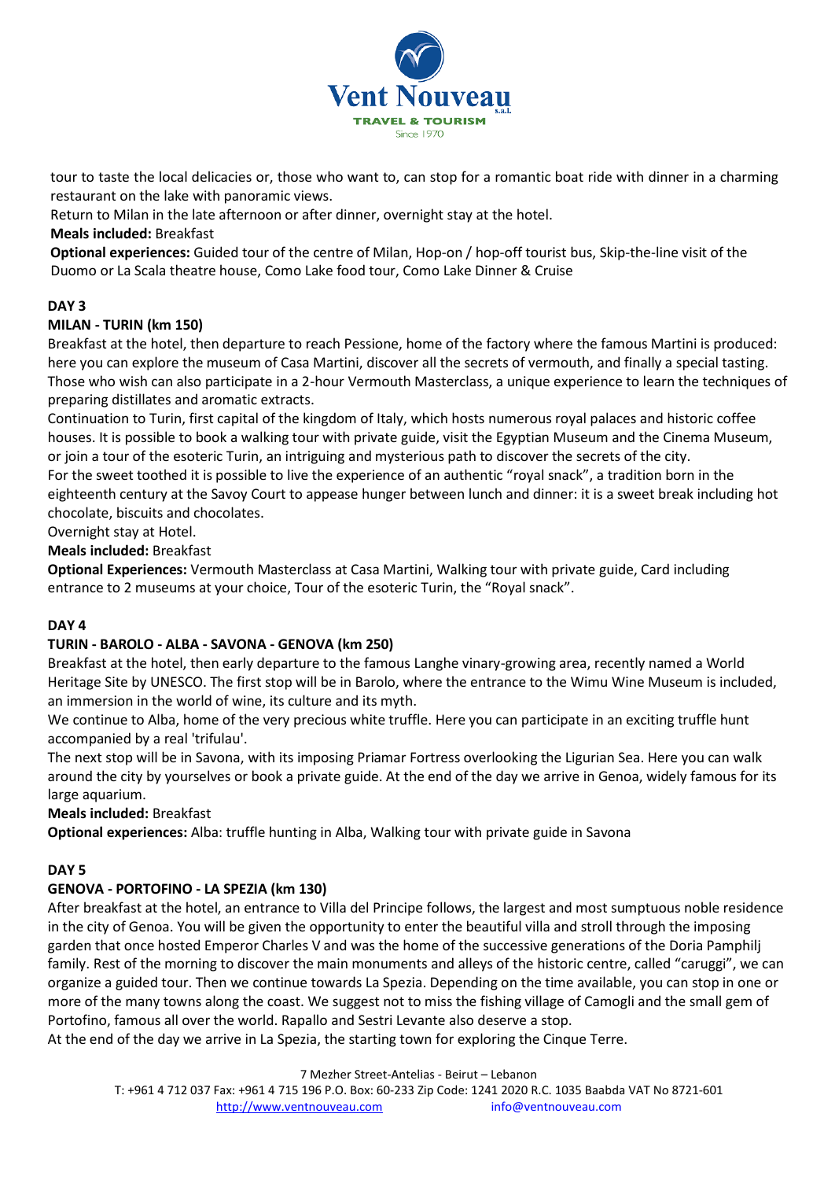

tour to taste the local delicacies or, those who want to, can stop for a romantic boat ride with dinner in a charming restaurant on the lake with panoramic views.

Return to Milan in the late afternoon or after dinner, overnight stay at the hotel.

## **Meals included:** Breakfast

**Optional experiences:** Guided tour of the centre of Milan, Hop-on / hop-off tourist bus, Skip-the-line visit of the Duomo or La Scala theatre house, Como Lake food tour, Como Lake Dinner & Cruise

## **DAY 3**

## **MILAN - TURIN (km 150)**

Breakfast at the hotel, then departure to reach Pessione, home of the factory where the famous Martini is produced: here you can explore the museum of Casa Martini, discover all the secrets of vermouth, and finally a special tasting. Those who wish can also participate in a 2-hour Vermouth Masterclass, a unique experience to learn the techniques of preparing distillates and aromatic extracts.

Continuation to Turin, first capital of the kingdom of Italy, which hosts numerous royal palaces and historic coffee houses. It is possible to book a walking tour with private guide, visit the Egyptian Museum and the Cinema Museum, or join a tour of the esoteric Turin, an intriguing and mysterious path to discover the secrets of the city. For the sweet toothed it is possible to live the experience of an authentic "royal snack", a tradition born in the

eighteenth century at the Savoy Court to appease hunger between lunch and dinner: it is a sweet break including hot chocolate, biscuits and chocolates.

Overnight stay at Hotel.

### **Meals included:** Breakfast

**Optional Experiences:** Vermouth Masterclass at Casa Martini, Walking tour with private guide, Card including entrance to 2 museums at your choice, Tour of the esoteric Turin, the "Royal snack".

#### **DAY 4**

#### **TURIN - BAROLO - ALBA - SAVONA - GENOVA (km 250)**

Breakfast at the hotel, then early departure to the famous Langhe vinary-growing area, recently named a World Heritage Site by UNESCO. The first stop will be in Barolo, where the entrance to the Wimu Wine Museum is included, an immersion in the world of wine, its culture and its myth.

We continue to Alba, home of the very precious white truffle. Here you can participate in an exciting truffle hunt accompanied by a real 'trifulau'.

The next stop will be in Savona, with its imposing Priamar Fortress overlooking the Ligurian Sea. Here you can walk around the city by yourselves or book a private guide. At the end of the day we arrive in Genoa, widely famous for its large aquarium.

**Meals included:** Breakfast

**Optional experiences:** Alba: truffle hunting in Alba, Walking tour with private guide in Savona

#### **DAY 5**

#### **GENOVA - PORTOFINO - LA SPEZIA (km 130)**

After breakfast at the hotel, an entrance to Villa del Principe follows, the largest and most sumptuous noble residence in the city of Genoa. You will be given the opportunity to enter the beautiful villa and stroll through the imposing garden that once hosted Emperor Charles V and was the home of the successive generations of the Doria Pamphilj family. Rest of the morning to discover the main monuments and alleys of the historic centre, called "caruggi", we can organize a guided tour. Then we continue towards La Spezia. Depending on the time available, you can stop in one or more of the many towns along the coast. We suggest not to miss the fishing village of Camogli and the small gem of Portofino, famous all over the world. Rapallo and Sestri Levante also deserve a stop.

At the end of the day we arrive in La Spezia, the starting town for exploring the Cinque Terre.

7 Mezher Street-Antelias - Beirut – Lebanon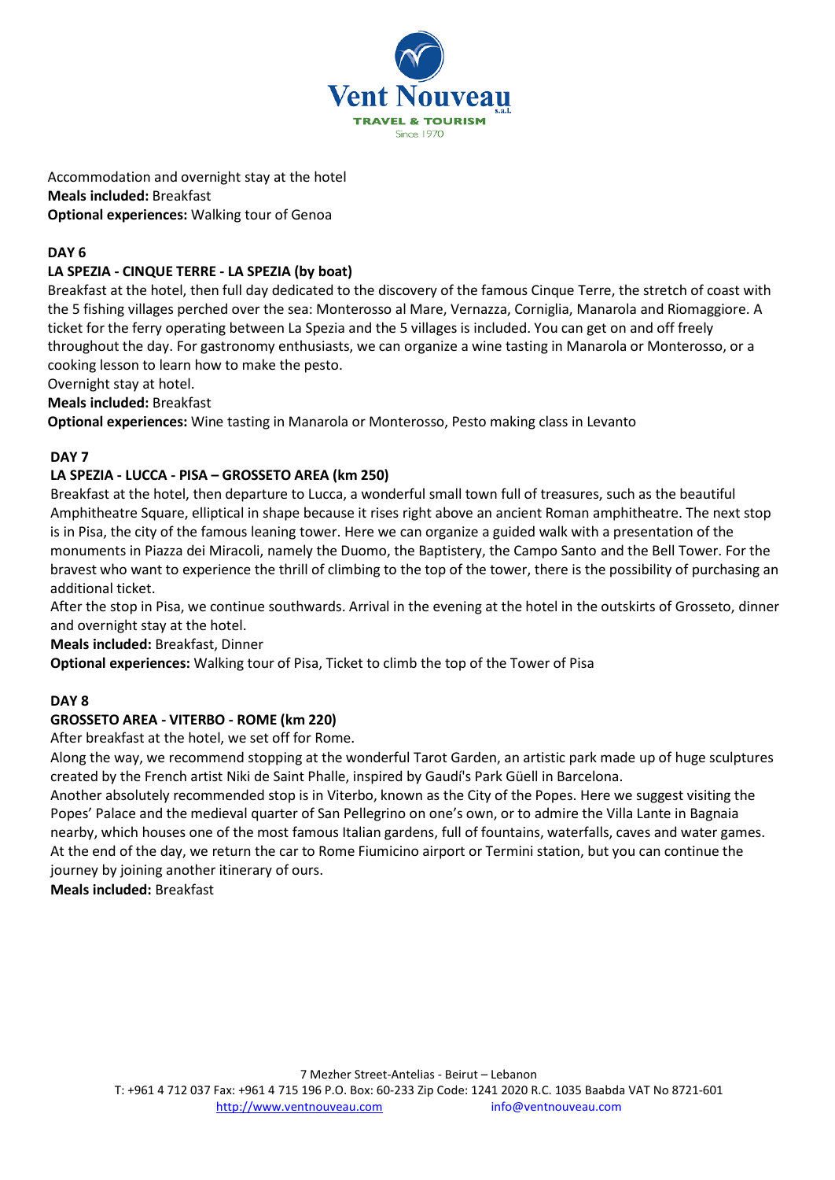

Accommodation and overnight stay at the hotel **Meals included:** Breakfast **Optional experiences:** Walking tour of Genoa

# **DAY 6**

# **LA SPEZIA - CINQUE TERRE - LA SPEZIA (by boat)**

Breakfast at the hotel, then full day dedicated to the discovery of the famous Cinque Terre, the stretch of coast with the 5 fishing villages perched over the sea: Monterosso al Mare, Vernazza, Corniglia, Manarola and Riomaggiore. A ticket for the ferry operating between La Spezia and the 5 villages is included. You can get on and off freely throughout the day. For gastronomy enthusiasts, we can organize a wine tasting in Manarola or Monterosso, or a cooking lesson to learn how to make the pesto.

Overnight stay at hotel.

**Meals included:** Breakfast

**Optional experiences:** Wine tasting in Manarola or Monterosso, Pesto making class in Levanto

# **DAY 7**

# **LA SPEZIA - LUCCA - PISA – GROSSETO AREA (km 250)**

Breakfast at the hotel, then departure to Lucca, a wonderful small town full of treasures, such as the beautiful Amphitheatre Square, elliptical in shape because it rises right above an ancient Roman amphitheatre. The next stop is in Pisa, the city of the famous leaning tower. Here we can organize a guided walk with a presentation of the monuments in Piazza dei Miracoli, namely the Duomo, the Baptistery, the Campo Santo and the Bell Tower. For the bravest who want to experience the thrill of climbing to the top of the tower, there is the possibility of purchasing an additional ticket.

After the stop in Pisa, we continue southwards. Arrival in the evening at the hotel in the outskirts of Grosseto, dinner and overnight stay at the hotel.

**Meals included:** Breakfast, Dinner

**Optional experiences:** Walking tour of Pisa, Ticket to climb the top of the Tower of Pisa

# **DAY 8**

# **GROSSETO AREA - VITERBO - ROME (km 220)**

After breakfast at the hotel, we set off for Rome.

Along the way, we recommend stopping at the wonderful Tarot Garden, an artistic park made up of huge sculptures created by the French artist Niki de Saint Phalle, inspired by Gaudí's Park Güell in Barcelona.

Another absolutely recommended stop is in Viterbo, known as the City of the Popes. Here we suggest visiting the Popes' Palace and the medieval quarter of San Pellegrino on one's own, or to admire the Villa Lante in Bagnaia nearby, which houses one of the most famous Italian gardens, full of fountains, waterfalls, caves and water games. At the end of the day, we return the car to Rome Fiumicino airport or Termini station, but you can continue the journey by joining another itinerary of ours.

**Meals included:** Breakfast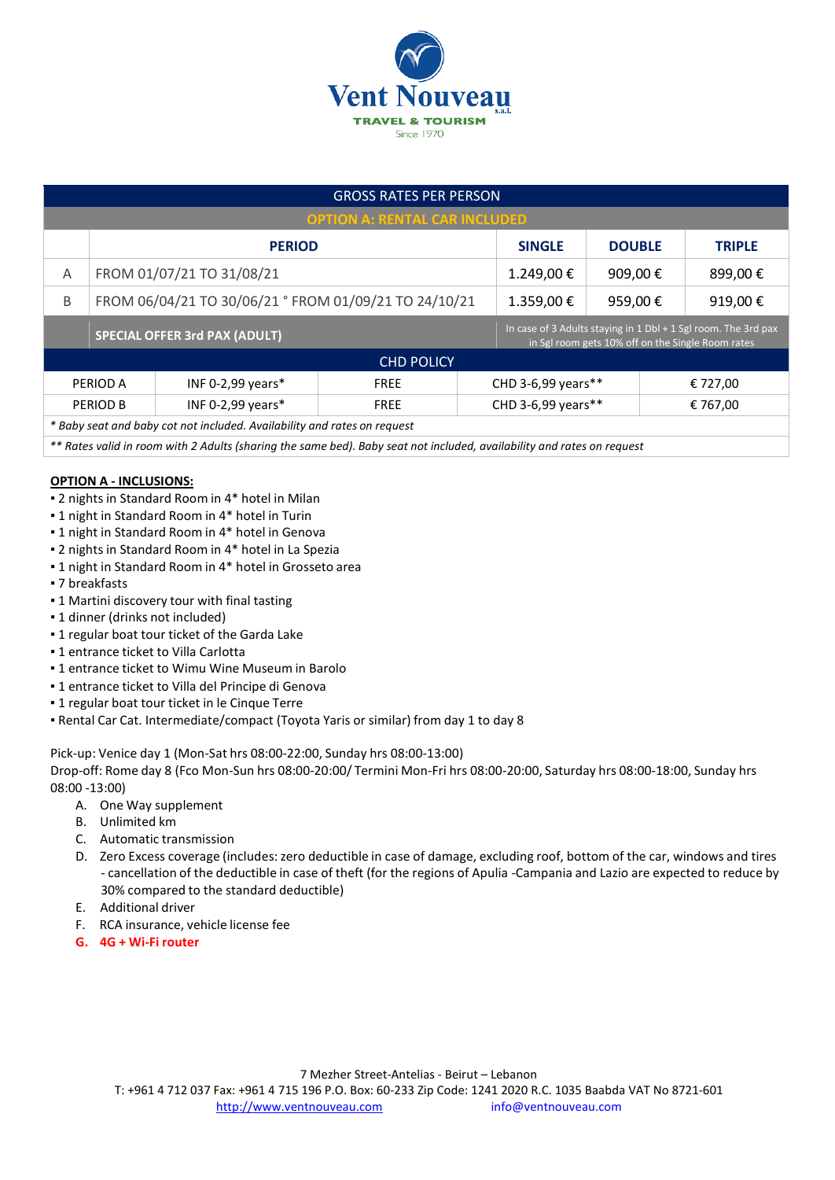

| <b>GROSS RATES PER PERSON</b>                                                                                          |                                                       |                   |             |                                                                                                                     |               |                    |               |          |  |
|------------------------------------------------------------------------------------------------------------------------|-------------------------------------------------------|-------------------|-------------|---------------------------------------------------------------------------------------------------------------------|---------------|--------------------|---------------|----------|--|
| <b>OPTION A: RENTAL CAR INCLUDED</b>                                                                                   |                                                       |                   |             |                                                                                                                     |               |                    |               |          |  |
|                                                                                                                        | <b>PERIOD</b>                                         |                   |             | <b>SINGLE</b>                                                                                                       | <b>DOUBLE</b> |                    | <b>TRIPLE</b> |          |  |
| A                                                                                                                      | FROM 01/07/21 TO 31/08/21                             |                   |             | 1.249,00€                                                                                                           | 909,00€       |                    | 899,00€       |          |  |
| B                                                                                                                      | FROM 06/04/21 TO 30/06/21 ° FROM 01/09/21 TO 24/10/21 |                   |             | 1.359,00€                                                                                                           | 959,00€       |                    | 919,00€       |          |  |
|                                                                                                                        | <b>SPECIAL OFFER 3rd PAX (ADULT)</b>                  |                   |             | In case of 3 Adults staying in 1 Dbl + 1 Sgl room. The 3rd pax<br>in Sgl room gets 10% off on the Single Room rates |               |                    |               |          |  |
| <b>CHD POLICY</b>                                                                                                      |                                                       |                   |             |                                                                                                                     |               |                    |               |          |  |
|                                                                                                                        | PERIOD A                                              | INF 0-2,99 years* | <b>FREE</b> | CHD 3-6,99 years**                                                                                                  |               |                    |               | € 727,00 |  |
|                                                                                                                        | PERIOD B                                              | INF 0-2,99 years* | <b>FREE</b> |                                                                                                                     |               | CHD 3-6,99 years** |               | € 767,00 |  |
| * Baby seat and baby cot not included. Availability and rates on request                                               |                                                       |                   |             |                                                                                                                     |               |                    |               |          |  |
| ** Datas uglidin room with 2. Adulta (charing the came hod). Daby soot not included, musilability and rotas on roquest |                                                       |                   |             |                                                                                                                     |               |                    |               |          |  |

*\*\* Rates valid in room with 2 Adults (sharing the same bed). Baby seat not included, availability and rates on request*

#### **OPTION A - INCLUSIONS:**

- **2 nights in Standard Room in 4\* hotel in Milan**
- **.** 1 night in Standard Room in 4\* hotel in Turin
- **.** 1 night in Standard Room in 4\* hotel in Genova
- 2 nights in Standard Room in 4\* hotel in La Spezia
- 1 night in Standard Room in 4\* hotel in Grosseto area
- 7 breakfasts
- **.** 1 Martini discovery tour with final tasting
- 1 dinner (drinks not included)
- **.** 1 regular boat tour ticket of the Garda Lake
- **.** 1 entrance ticket to Villa Carlotta
- **.1** entrance ticket to Wimu Wine Museum in Barolo
- 1 entrance ticket to Villa del Principe di Genova
- 1 regular boat tour ticket in le Cinque Terre
- Rental Car Cat. Intermediate/compact (Toyota Yaris or similar) from day 1 to day 8

Pick-up: Venice day 1 (Mon-Sat hrs 08:00-22:00, Sunday hrs 08:00-13:00)

Drop-off: Rome day 8 (Fco Mon-Sun hrs 08:00-20:00/ Termini Mon-Fri hrs 08:00-20:00, Saturday hrs 08:00-18:00, Sunday hrs 08:00 -13:00)

- A. One Way supplement
- B. Unlimited km
- C. Automatic transmission
- D. Zero Excess coverage (includes: zero deductible in case of damage, excluding roof, bottom of the car, windows and tires - cancellation of the deductible in case of theft (for the regions of Apulia -Campania and Lazio are expected to reduce by 30% compared to the standard deductible)
- E. Additional driver
- F. RCA insurance, vehicle license fee
- **G. 4G + Wi-Fi router**